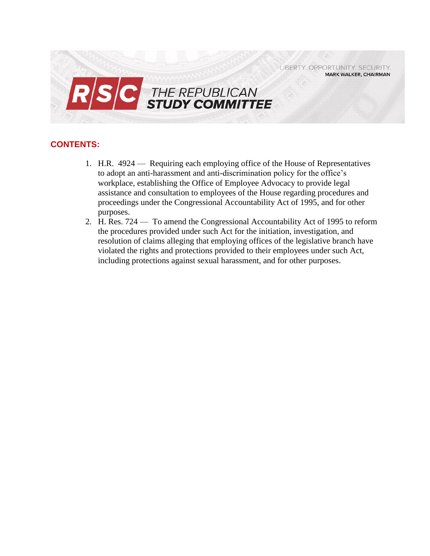LIBERTY. OPPORTUNITY. SECURITY. **MARK WALKER, CHAIRMAN** 



# **CONTENTS:**

- 1. H.R. 4924 Requiring each employing office of the House of Representatives to adopt an anti-harassment and anti-discrimination policy for the office's workplace, establishing the Office of Employee Advocacy to provide legal assistance and consultation to employees of the House regarding procedures and proceedings under the Congressional Accountability Act of 1995, and for other purposes.
- 2. H. Res. 724 To amend the Congressional Accountability Act of 1995 to reform the procedures provided under such Act for the initiation, investigation, and resolution of claims alleging that employing offices of the legislative branch have violated the rights and protections provided to their employees under such Act, including protections against sexual harassment, and for other purposes.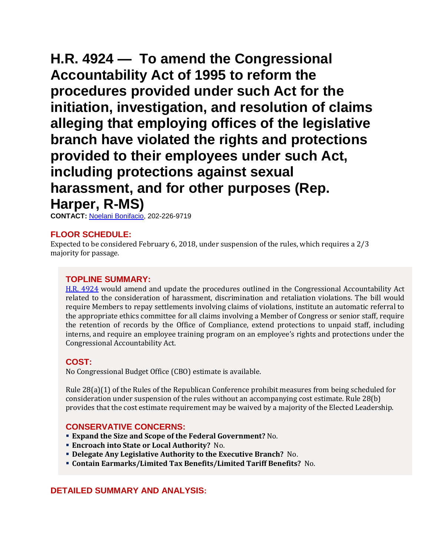**H.R. 4924 — To amend the Congressional Accountability Act of 1995 to reform the procedures provided under such Act for the initiation, investigation, and resolution of claims alleging that employing offices of the legislative branch have violated the rights and protections provided to their employees under such Act, including protections against sexual harassment, and for other purposes (Rep. Harper, R-MS)**

**CONTACT:** [Noelani Bonifacio,](mailto:Noelani.Bonifacio@mail.house.gov) 202-226-9719

## **FLOOR SCHEDULE:**

Expected to be considered February 6, 2018, under suspension of the rules, which requires a 2/3 majority for passage.

## **TOPLINE SUMMARY:**

[H.R. 4924](http://docs.house.gov/billsthisweek/20180205/HR___.pdf) would amend and update the procedures outlined in the Congressional Accountability Act related to the consideration of harassment, discrimination and retaliation violations. The bill would require Members to repay settlements involving claims of violations, institute an automatic referral to the appropriate ethics committee for all claims involving a Member of Congress or senior staff, require the retention of records by the Office of Compliance, extend protections to unpaid staff, including interns, and require an employee training program on an employee's rights and protections under the Congressional Accountability Act.

## **COST:**

No Congressional Budget Office (CBO) estimate is available.

Rule 28(a)(1) of the Rules of the Republican Conference prohibit measures from being scheduled for consideration under suspension of the rules without an accompanying cost estimate. Rule 28(b) provides that the cost estimate requirement may be waived by a majority of the Elected Leadership.

## **CONSERVATIVE CONCERNS:**

- **Expand the Size and Scope of the Federal Government?** No.
- **Encroach into State or Local Authority?** No.
- **Delegate Any Legislative Authority to the Executive Branch?** No.
- **Contain Earmarks/Limited Tax Benefits/Limited Tariff Benefits?** No.

## **DETAILED SUMMARY AND ANALYSIS:**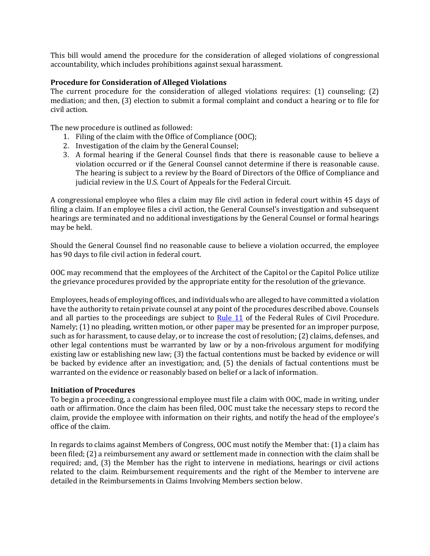This bill would amend the procedure for the consideration of alleged violations of congressional accountability, which includes prohibitions against sexual harassment.

### **Procedure for Consideration of Alleged Violations**

The current procedure for the consideration of alleged violations requires: (1) counseling; (2) mediation; and then, (3) election to submit a formal complaint and conduct a hearing or to file for civil action.

The new procedure is outlined as followed:

- 1. Filing of the claim with the Office of Compliance (OOC);
- 2. Investigation of the claim by the General Counsel;
- 3. A formal hearing if the General Counsel finds that there is reasonable cause to believe a violation occurred or if the General Counsel cannot determine if there is reasonable cause. The hearing is subject to a review by the Board of Directors of the Office of Compliance and judicial review in the U.S. Court of Appeals for the Federal Circuit.

A congressional employee who files a claim may file civil action in federal court within 45 days of filing a claim. If an employee files a civil action, the General Counsel's investigation and subsequent hearings are terminated and no additional investigations by the General Counsel or formal hearings may be held.

Should the General Counsel find no reasonable cause to believe a violation occurred, the employee has 90 days to file civil action in federal court.

OOC may recommend that the employees of the Architect of the Capitol or the Capitol Police utilize the grievance procedures provided by the appropriate entity for the resolution of the grievance.

Employees, heads of employing offices, and individuals who are alleged to have committed a violation have the authority to retain private counsel at any point of the procedures described above. Counsels and all parties to the proceedings are subject to [Rule 11](https://www.federalrulesofcivilprocedure.org/frcp/title-iii-pleadings-and-motions/rule-11-signing-pleadings-motions-and-other-papers-representations-to-the-court-sanctions/) of the Federal Rules of Civil Procedure. Namely; (1) no pleading, written motion, or other paper may be presented for an improper purpose, such as for harassment, to cause delay, or to increase the cost of resolution; (2) claims, defenses, and other legal contentions must be warranted by law or by a non-frivolous argument for modifying existing law or establishing new law; (3) the factual contentions must be backed by evidence or will be backed by evidence after an investigation; and, (5) the denials of factual contentions must be warranted on the evidence or reasonably based on belief or a lack of information.

#### **Initiation of Procedures**

To begin a proceeding, a congressional employee must file a claim with OOC, made in writing, under oath or affirmation. Once the claim has been filed, OOC must take the necessary steps to record the claim, provide the employee with information on their rights, and notify the head of the employee's office of the claim.

In regards to claims against Members of Congress, OOC must notify the Member that: (1) a claim has been filed; (2) a reimbursement any award or settlement made in connection with the claim shall be required; and, (3) the Member has the right to intervene in mediations, hearings or civil actions related to the claim. Reimbursement requirements and the right of the Member to intervene are detailed in the Reimbursements in Claims Involving Members section below.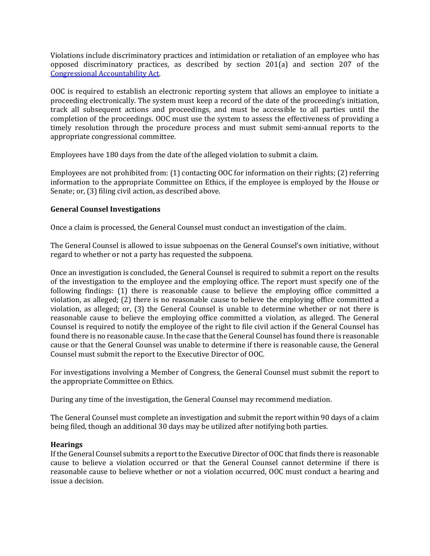Violations include discriminatory practices and intimidation or retaliation of an employee who has opposed discriminatory practices, as described by section 201(a) and section 207 of the [Congressional Accountability Act.](file:///C:/Users/nbonifacio/Downloads/CAA_508v2.pdf)

OOC is required to establish an electronic reporting system that allows an employee to initiate a proceeding electronically. The system must keep a record of the date of the proceeding's initiation, track all subsequent actions and proceedings, and must be accessible to all parties until the completion of the proceedings. OOC must use the system to assess the effectiveness of providing a timely resolution through the procedure process and must submit semi-annual reports to the appropriate congressional committee.

Employees have 180 days from the date of the alleged violation to submit a claim.

Employees are not prohibited from: (1) contacting OOC for information on their rights; (2) referring information to the appropriate Committee on Ethics, if the employee is employed by the House or Senate; or, (3) filing civil action, as described above.

### **General Counsel Investigations**

Once a claim is processed, the General Counsel must conduct an investigation of the claim.

The General Counsel is allowed to issue subpoenas on the General Counsel's own initiative, without regard to whether or not a party has requested the subpoena.

Once an investigation is concluded, the General Counsel is required to submit a report on the results of the investigation to the employee and the employing office. The report must specify one of the following findings: (1) there is reasonable cause to believe the employing office committed a violation, as alleged; (2) there is no reasonable cause to believe the employing office committed a violation, as alleged; or, (3) the General Counsel is unable to determine whether or not there is reasonable cause to believe the employing office committed a violation, as alleged. The General Counsel is required to notify the employee of the right to file civil action if the General Counsel has found there is no reasonable cause. In the case that the General Counsel has found there is reasonable cause or that the General Counsel was unable to determine if there is reasonable cause, the General Counsel must submit the report to the Executive Director of OOC.

For investigations involving a Member of Congress, the General Counsel must submit the report to the appropriate Committee on Ethics.

During any time of the investigation, the General Counsel may recommend mediation.

The General Counsel must complete an investigation and submit the report within 90 days of a claim being filed, though an additional 30 days may be utilized after notifying both parties.

#### **Hearings**

If the General Counsel submits a report to the Executive Director of OOC that finds there is reasonable cause to believe a violation occurred or that the General Counsel cannot determine if there is reasonable cause to believe whether or not a violation occurred, OOC must conduct a hearing and issue a decision.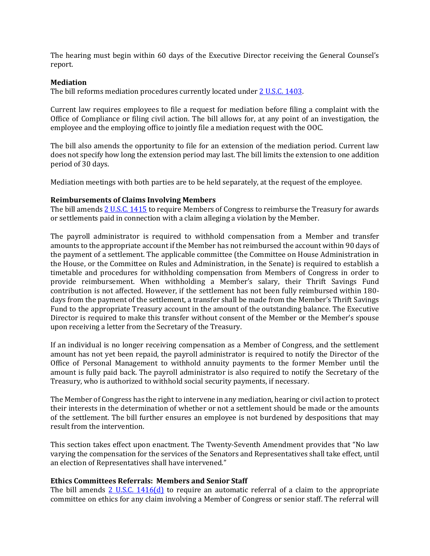The hearing must begin within 60 days of the Executive Director receiving the General Counsel's report.

#### **Mediation**

The bill reforms mediation procedures currently located under 2 U.S.C. 1403.

Current law requires employees to file a request for mediation before filing a complaint with the Office of Compliance or filing civil action. The bill allows for, at any point of an investigation, the employee and the employing office to jointly file a mediation request with the OOC.

The bill also amends the opportunity to file for an extension of the mediation period. Current law does not specify how long the extension period may last. The bill limits the extension to one addition period of 30 days.

Mediation meetings with both parties are to be held separately, at the request of the employee.

#### **Reimbursements of Claims Involving Members**

The bill amend[s 2 U.S.C. 1415](http://uscode.house.gov/view.xhtml?req=(title:2%20section:1415%20edition:prelim)%20OR%20(granuleid:USC-prelim-title2-section1415)&f=treesort&edition=prelim&num=0&jumpTo=true) to require Members of Congress to reimburse the Treasury for awards or settlements paid in connection with a claim alleging a violation by the Member.

The payroll administrator is required to withhold compensation from a Member and transfer amounts to the appropriate account if the Member has not reimbursed the account within 90 days of the payment of a settlement. The applicable committee (the Committee on House Administration in the House, or the Committee on Rules and Administration, in the Senate) is required to establish a timetable and procedures for withholding compensation from Members of Congress in order to provide reimbursement. When withholding a Member's salary, their Thrift Savings Fund contribution is not affected. However, if the settlement has not been fully reimbursed within 180 days from the payment of the settlement, a transfer shall be made from the Member's Thrift Savings Fund to the appropriate Treasury account in the amount of the outstanding balance. The Executive Director is required to make this transfer without consent of the Member or the Member's spouse upon receiving a letter from the Secretary of the Treasury.

If an individual is no longer receiving compensation as a Member of Congress, and the settlement amount has not yet been repaid, the payroll administrator is required to notify the Director of the Office of Personal Management to withhold annuity payments to the former Member until the amount is fully paid back. The payroll administrator is also required to notify the Secretary of the Treasury, who is authorized to withhold social security payments, if necessary.

The Member of Congress has the right to intervene in any mediation, hearing or civil action to protect their interests in the determination of whether or not a settlement should be made or the amounts of the settlement. The bill further ensures an employee is not burdened by despositions that may result from the intervention.

This section takes effect upon enactment. The Twenty-Seventh Amendment provides that "No law varying the compensation for the services of the Senators and Representatives shall take effect, until an election of Representatives shall have intervened."

#### **Ethics Committees Referrals: Members and Senior Staff**

The bill amends [2 U.S.C. 1416\(d\)](http://uscode.house.gov/view.xhtml?req=(title:2%20section:1416%20edition:prelim)%20OR%20(granuleid:USC-prelim-title2-section1416)&f=treesort&edition=prelim&num=0&jumpTo=true#substructure-location_d) to require an automatic referral of a claim to the appropriate committee on ethics for any claim involving a Member of Congress or senior staff. The referral will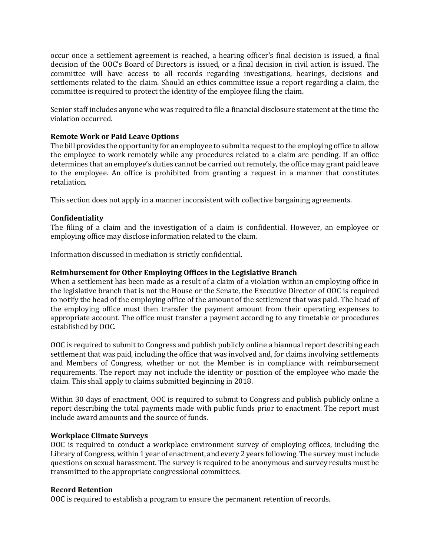occur once a settlement agreement is reached, a hearing officer's final decision is issued, a final decision of the OOC's Board of Directors is issued, or a final decision in civil action is issued. The committee will have access to all records regarding investigations, hearings, decisions and settlements related to the claim. Should an ethics committee issue a report regarding a claim, the committee is required to protect the identity of the employee filing the claim.

Senior staff includes anyone who was required to file a financial disclosure statement at the time the violation occurred.

### **Remote Work or Paid Leave Options**

The bill provides the opportunity for an employee to submit a request to the employing office to allow the employee to work remotely while any procedures related to a claim are pending. If an office determines that an employee's duties cannot be carried out remotely, the office may grant paid leave to the employee. An office is prohibited from granting a request in a manner that constitutes retaliation.

This section does not apply in a manner inconsistent with collective bargaining agreements.

## **Confidentiality**

The filing of a claim and the investigation of a claim is confidential. However, an employee or employing office may disclose information related to the claim.

Information discussed in mediation is strictly confidential.

#### **Reimbursement for Other Employing Offices in the Legislative Branch**

When a settlement has been made as a result of a claim of a violation within an employing office in the legislative branch that is not the House or the Senate, the Executive Director of OOC is required to notify the head of the employing office of the amount of the settlement that was paid. The head of the employing office must then transfer the payment amount from their operating expenses to appropriate account. The office must transfer a payment according to any timetable or procedures established by OOC.

OOC is required to submit to Congress and publish publicly online a biannual report describing each settlement that was paid, including the office that was involved and, for claims involving settlements and Members of Congress, whether or not the Member is in compliance with reimbursement requirements. The report may not include the identity or position of the employee who made the claim. This shall apply to claims submitted beginning in 2018.

Within 30 days of enactment, OOC is required to submit to Congress and publish publicly online a report describing the total payments made with public funds prior to enactment. The report must include award amounts and the source of funds.

#### **Workplace Climate Surveys**

OOC is required to conduct a workplace environment survey of employing offices, including the Library of Congress, within 1 year of enactment, and every 2 years following. The survey must include questions on sexual harassment. The survey is required to be anonymous and survey results must be transmitted to the appropriate congressional committees.

#### **Record Retention**

OOC is required to establish a program to ensure the permanent retention of records.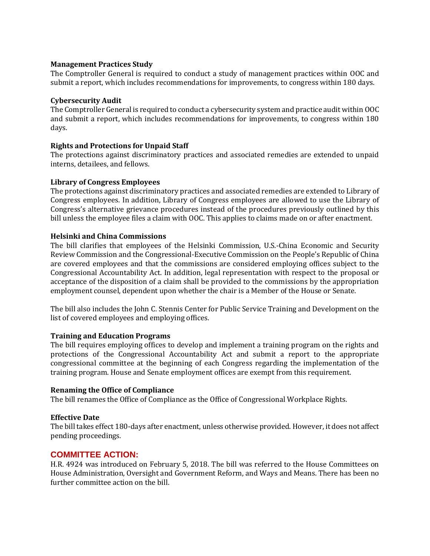#### **Management Practices Study**

The Comptroller General is required to conduct a study of management practices within OOC and submit a report, which includes recommendations for improvements, to congress within 180 days.

#### **Cybersecurity Audit**

The Comptroller General is required to conduct a cybersecurity system and practice audit within OOC and submit a report, which includes recommendations for improvements, to congress within 180 days.

### **Rights and Protections for Unpaid Staff**

The protections against discriminatory practices and associated remedies are extended to unpaid interns, detailees, and fellows.

### **Library of Congress Employees**

The protections against discriminatory practices and associated remedies are extended to Library of Congress employees. In addition, Library of Congress employees are allowed to use the Library of Congress's alternative grievance procedures instead of the procedures previously outlined by this bill unless the employee files a claim with OOC. This applies to claims made on or after enactment.

#### **Helsinki and China Commissions**

The bill clarifies that employees of the Helsinki Commission, U.S.-China Economic and Security Review Commission and the Congressional-Executive Commission on the People's Republic of China are covered employees and that the commissions are considered employing offices subject to the Congressional Accountability Act. In addition, legal representation with respect to the proposal or acceptance of the disposition of a claim shall be provided to the commissions by the appropriation employment counsel, dependent upon whether the chair is a Member of the House or Senate.

The bill also includes the John C. Stennis Center for Public Service Training and Development on the list of covered employees and employing offices.

#### **Training and Education Programs**

The bill requires employing offices to develop and implement a training program on the rights and protections of the Congressional Accountability Act and submit a report to the appropriate congressional committee at the beginning of each Congress regarding the implementation of the training program. House and Senate employment offices are exempt from this requirement.

#### **Renaming the Office of Compliance**

The bill renames the Office of Compliance as the Office of Congressional Workplace Rights.

#### **Effective Date**

The bill takes effect 180-days after enactment, unless otherwise provided. However, it does not affect pending proceedings.

## **COMMITTEE ACTION:**

H.R. 4924 was introduced on February 5, 2018. The bill was referred to the House Committees on House Administration, Oversight and Government Reform, and Ways and Means. There has been no further committee action on the bill.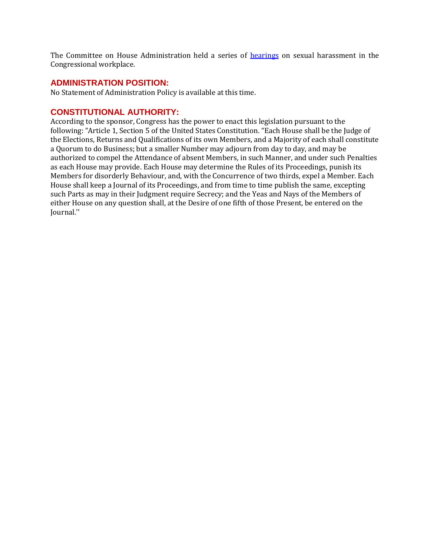The Committee on House Administration held a series of [hearings](https://cha.house.gov/legislation/past-hearings-markups2) on sexual harassment in the Congressional workplace.

## **ADMINISTRATION POSITION:**

No Statement of Administration Policy is available at this time.

## **CONSTITUTIONAL AUTHORITY:**

According to the sponsor, Congress has the power to enact this legislation pursuant to the following: "Article 1, Section 5 of the United States Constitution. "Each House shall be the Judge of the Elections, Returns and Qualifications of its own Members, and a Majority of each shall constitute a Quorum to do Business; but a smaller Number may adjourn from day to day, and may be authorized to compel the Attendance of absent Members, in such Manner, and under such Penalties as each House may provide. Each House may determine the Rules of its Proceedings, punish its Members for disorderly Behaviour, and, with the Concurrence of two thirds, expel a Member. Each House shall keep a Journal of its Proceedings, and from time to time publish the same, excepting such Parts as may in their Judgment require Secrecy; and the Yeas and Nays of the Members of either House on any question shall, at the Desire of one fifth of those Present, be entered on the Journal.''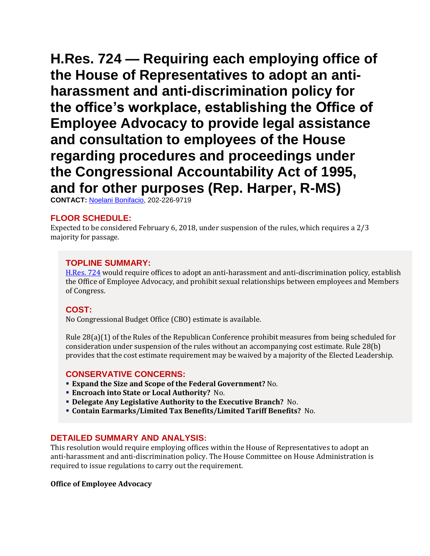**H.Res. 724 — Requiring each employing office of the House of Representatives to adopt an antiharassment and anti-discrimination policy for the office's workplace, establishing the Office of Employee Advocacy to provide legal assistance and consultation to employees of the House regarding procedures and proceedings under the Congressional Accountability Act of 1995, and for other purposes (Rep. Harper, R-MS)**

**CONTACT:** [Noelani Bonifacio,](mailto:Noelani.Bonifacio@mail.house.gov) 202-226-9719

# **FLOOR SCHEDULE:**

Expected to be considered February 6, 2018, under suspension of the rules, which requires a 2/3 majority for passage.

## **TOPLINE SUMMARY:**

[H.Res. 724](http://docs.house.gov/billsthisweek/20180205/HRES___.pdf) would require offices to adopt an anti-harassment and anti-discrimination policy, establish the Office of Employee Advocacy, and prohibit sexual relationships between employees and Members of Congress.

## **COST:**

No Congressional Budget Office (CBO) estimate is available.

Rule 28(a)(1) of the Rules of the Republican Conference prohibit measures from being scheduled for consideration under suspension of the rules without an accompanying cost estimate. Rule 28(b) provides that the cost estimate requirement may be waived by a majority of the Elected Leadership.

## **CONSERVATIVE CONCERNS:**

- **Expand the Size and Scope of the Federal Government?** No.
- **Encroach into State or Local Authority?** No.
- **Delegate Any Legislative Authority to the Executive Branch?** No.
- **Contain Earmarks/Limited Tax Benefits/Limited Tariff Benefits?** No.

## **DETAILED SUMMARY AND ANALYSIS:**

This resolution would require employing offices within the House of Representatives to adopt an anti-harassment and anti-discrimination policy. The House Committee on House Administration is required to issue regulations to carry out the requirement.

## **Office of Employee Advocacy**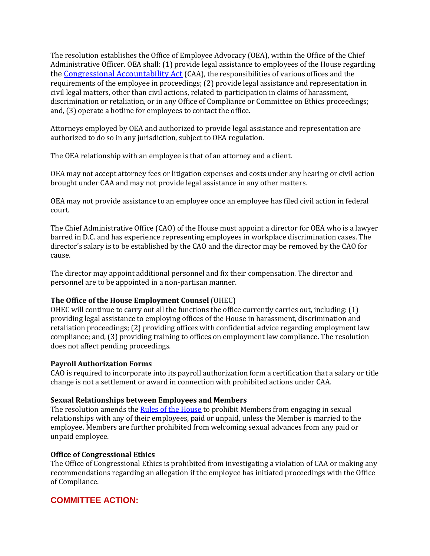The resolution establishes the Office of Employee Advocacy (OEA), within the Office of the Chief Administrative Officer. OEA shall: (1) provide legal assistance to employees of the House regarding the [Congressional Accountability Act](file:///C:/Users/nbonifacio/Downloads/CAA_508v2.pdf) (CAA), the responsibilities of various offices and the requirements of the employee in proceedings; (2) provide legal assistance and representation in civil legal matters, other than civil actions, related to participation in claims of harassment, discrimination or retaliation, or in any Office of Compliance or Committee on Ethics proceedings; and, (3) operate a hotline for employees to contact the office.

Attorneys employed by OEA and authorized to provide legal assistance and representation are authorized to do so in any jurisdiction, subject to OEA regulation.

The OEA relationship with an employee is that of an attorney and a client.

OEA may not accept attorney fees or litigation expenses and costs under any hearing or civil action brought under CAA and may not provide legal assistance in any other matters.

OEA may not provide assistance to an employee once an employee has filed civil action in federal court.

The Chief Administrative Office (CAO) of the House must appoint a director for OEA who is a lawyer barred in D.C. and has experience representing employees in workplace discrimination cases. The director's salary is to be established by the CAO and the director may be removed by the CAO for cause.

The director may appoint additional personnel and fix their compensation. The director and personnel are to be appointed in a non-partisan manner.

## **The Office of the House Employment Counsel** (OHEC)

OHEC will continue to carry out all the functions the office currently carries out, including: (1) providing legal assistance to employing offices of the House in harassment, discrimination and retaliation proceedings; (2) providing offices with confidential advice regarding employment law compliance; and, (3) providing training to offices on employment law compliance. The resolution does not affect pending proceedings.

#### **Payroll Authorization Forms**

CAO is required to incorporate into its payroll authorization form a certification that a salary or title change is not a settlement or award in connection with prohibited actions under CAA.

#### **Sexual Relationships between Employees and Members**

The resolution amends the [Rules of the House](http://clerk.house.gov/legislative/house-rules.pdf) to prohibit Members from engaging in sexual relationships with any of their employees, paid or unpaid, unless the Member is married to the employee. Members are further prohibited from welcoming sexual advances from any paid or unpaid employee.

#### **Office of Congressional Ethics**

The Office of Congressional Ethics is prohibited from investigating a violation of CAA or making any recommendations regarding an allegation if the employee has initiated proceedings with the Office of Compliance.

## **COMMITTEE ACTION:**